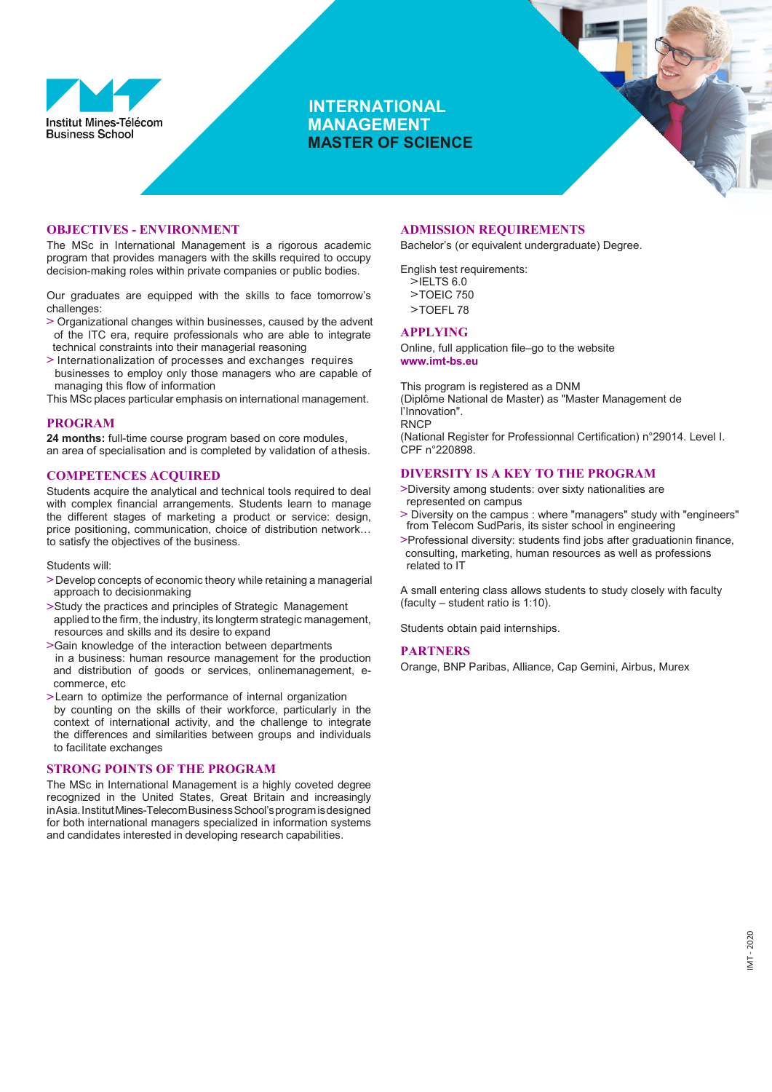

# **INTERNATIONAL MANAGEMENT MASTER OF SCIENCE**



### **OBJECTIVES - ENVIRONMENT**

The MSc in International Management is a rigorous academic program that provides managers with the skills required to occupy decision-making roles within private companies or public bodies.

Our graduates are equipped with the skills to face tomorrow's challenges:

- **>** Organizational changes within businesses, caused by the advent of the ITC era, require professionals who are able to integrate technical constraints into their managerial reasoning
- **>** Internationalization of processes and exchanges requires businesses to employ only those managers who are capable of managing this flow of information

This MSc places particular emphasis on international management.

### **PROGRAM**

**24 months:** full-time course program based on core modules, an area of specialisation and is completed by validation of athesis.

### **COMPETENCES ACQUIRED**

Students acquire the analytical and technical tools required to deal with complex financial arrangements. Students learn to manage the different stages of marketing a product or service: design, price positioning, communication, choice of distribution network… to satisfy the objectives of the business.

Students will:

- **>**Develop concepts of economic theory while retaining a managerial approach to decisionmaking
- **>**Study the practices and principles of Strategic Management applied to the firm, the industry, its longterm strategic management, resources and skills and its desire to expand
- **>**Gain knowledge of the interaction between departments in a business: human resource management for the production and distribution of goods or services, onlinemanagement, ecommerce, etc
- **>**Learn to optimize the performance of internal organization by counting on the skills of their workforce, particularly in the context of international activity, and the challenge to integrate the differences and similarities between groups and individuals to facilitate exchanges

### **STRONG POINTS OF THE PROGRAM**

The MSc in International Management is a highly coveted degree recognized in the United States, Great Britain and increasingly inAsia. Institut Mines-Telecom Business School's program is designed for both international managers specialized in information systems and candidates interested in developing research capabilities.

## **ADMISSION REQUIREMENTS**

Bachelor's (or equivalent undergraduate) Degree.

English test requirements: **>**IELTS 6.0 **>**TOEIC 750 **>**TOEFL 78

## **APPLYING**

Online, full application file–go to the website **[www.imt-bs.eu](http://www.imt-bs.eu/)**

This program is registered as a DNM (Diplôme National de Master) as "Master Management de l'Innovation". **RNCP** (National Register for Professionnal Certification) n°29014. Level I.

CPF n°220898.

## **DIVERSITY IS A KEY TO THE PROGRAM**

- **>**Diversity among students: over sixty nationalities are represented on campus
- **>** Diversity on the campus : where "managers" study with "engineers" from Telecom SudParis, its sister school in engineering
- **>**Professional diversity: students find jobs after graduationin finance, consulting, marketing, human resources as well as professions related to IT

A small entering class allows students to study closely with faculty (faculty – student ratio is 1:10).

Students obtain paid internships.

### **PARTNERS**

Orange, BNP Paribas, Alliance, Cap Gemini, Airbus, Murex